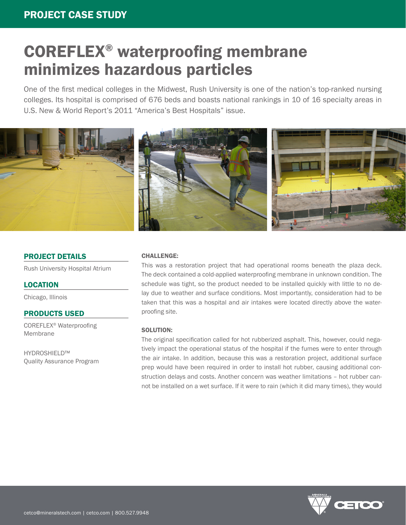# COREFLEX® waterproofing membrane minimizes hazardous particles

One of the first medical colleges in the Midwest, Rush University is one of the nation's top-ranked nursing colleges. Its hospital is comprised of 676 beds and boasts national rankings in 10 of 16 specialty areas in U.S. New & World Report's 2011 "America's Best Hospitals" issue.



# PROJECT DETAILS

Rush University Hospital Atrium

# LOCATION

Chicago, Illinois

# PRODUCTS USED

COREFLEX® Waterproofing Membrane

HYDROSHIELD™ Quality Assurance Program

#### CHALLENGE:

This was a restoration project that had operational rooms beneath the plaza deck. The deck contained a cold-applied waterproofing membrane in unknown condition. The schedule was tight, so the product needed to be installed quickly with little to no delay due to weather and surface conditions. Most importantly, consideration had to be taken that this was a hospital and air intakes were located directly above the waterproofing site.

#### SOLUTION:

The original specification called for hot rubberized asphalt. This, however, could negatively impact the operational status of the hospital if the fumes were to enter through the air intake. In addition, because this was a restoration project, additional surface prep would have been required in order to install hot rubber, causing additional construction delays and costs. Another concern was weather limitations – hot rubber cannot be installed on a wet surface. If it were to rain (which it did many times), they would